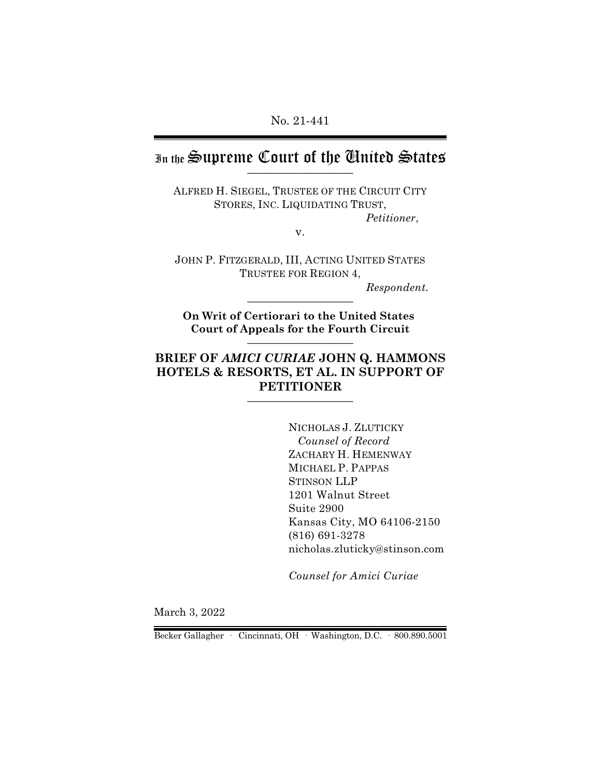## In the Supreme Court of the Gnited States  $\frac{1}{2}$

ALFRED H. SIEGEL, TRUSTEE OF THE CIRCUIT CITY STORES, INC. LIQUIDATING TRUST, *Petitioner*,

v.

JOHN P. FITZGERALD, III, ACTING UNITED STATES TRUSTEE FOR REGION 4,

\_\_\_\_\_\_\_\_\_\_\_\_\_\_\_\_\_\_

*Respondent.*

**On Writ of Certiorari to the United States Court of Appeals for the Fourth Circuit** \_\_\_\_\_\_\_\_\_\_\_\_\_\_\_\_\_\_

## **BRIEF OF** *AMICI CURIAE* **JOHN Q. HAMMONS HOTELS & RESORTS, ET AL. IN SUPPORT OF PETITIONER** \_\_\_\_\_\_\_\_\_\_\_\_\_\_\_\_\_\_

NICHOLAS J. ZLUTICKY  *Counsel of Record* ZACHARY H. HEMENWAY MICHAEL P. PAPPAS STINSON LLP 1201 Walnut Street Suite 2900 Kansas City, MO 64106-2150 (816) 691-3278 nicholas.zluticky@stinson.com

*Counsel for Amici Curiae*

March 3, 2022

Becker Gallagher · Cincinnati, OH · Washington, D.C. · 800.890.5001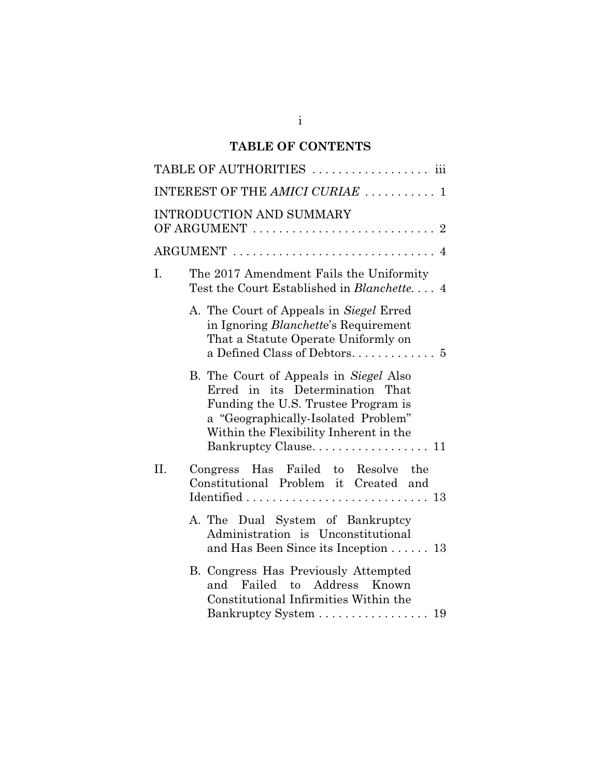# **TABLE OF CONTENTS**

|     | TABLE OF AUTHORITIES                                                                                                                                                                                                      |
|-----|---------------------------------------------------------------------------------------------------------------------------------------------------------------------------------------------------------------------------|
|     | INTEREST OF THE AMICI CURIAE  1                                                                                                                                                                                           |
|     | <b>INTRODUCTION AND SUMMARY</b>                                                                                                                                                                                           |
|     | ARGUMENT  4                                                                                                                                                                                                               |
| I.  | The 2017 Amendment Fails the Uniformity<br>Test the Court Established in Blanchette 4                                                                                                                                     |
|     | A. The Court of Appeals in Siegel Erred<br>in Ignoring <i>Blanchette's</i> Requirement<br>That a Statute Operate Uniformly on                                                                                             |
|     | B. The Court of Appeals in Siegel Also<br>Erred in its Determination That<br>Funding the U.S. Trustee Program is<br>a "Geographically-Isolated Problem"<br>Within the Flexibility Inherent in the<br>Bankruptcy Clause 11 |
| II. | Congress Has Failed to Resolve the<br>Constitutional Problem it Created and                                                                                                                                               |
|     | A. The Dual System of Bankruptcy<br>Administration is Unconstitutional<br>and Has Been Since its Inception $\dots$ 13                                                                                                     |
|     | B. Congress Has Previously Attempted<br>and Failed to Address Known<br>Constitutional Infirmities Within the<br>Bankruptcy System<br>19                                                                                   |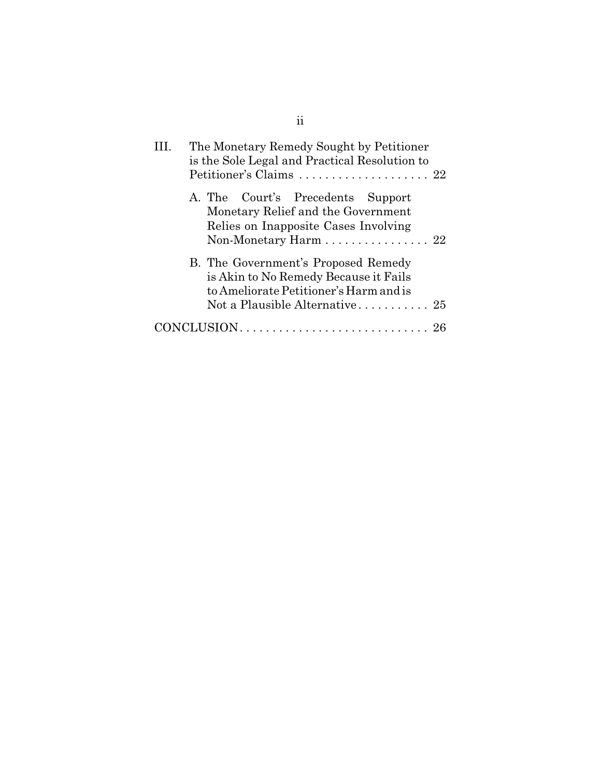| HL. | The Monetary Remedy Sought by Petitioner<br>is the Sole Legal and Practical Resolution to                                                                             |
|-----|-----------------------------------------------------------------------------------------------------------------------------------------------------------------------|
|     | A. The Court's Precedents Support<br>Monetary Relief and the Government<br>Relies on Inapposite Cases Involving<br>Non-Monetary Harm $\ldots \ldots \ldots \ldots 22$ |
|     | B. The Government's Proposed Remedy<br>is Akin to No Remedy Because it Fails<br>to Ameliorate Petitioner's Harm and is                                                |
|     |                                                                                                                                                                       |

ii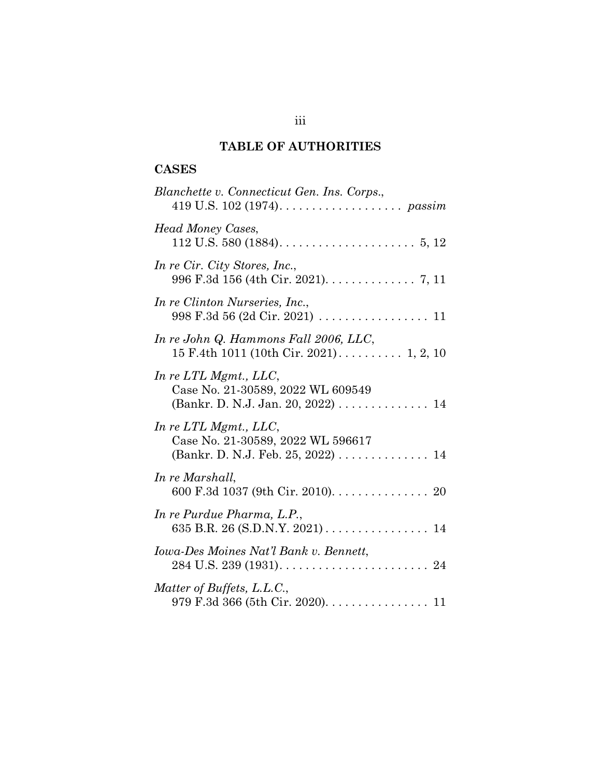## **TABLE OF AUTHORITIES**

## **CASES**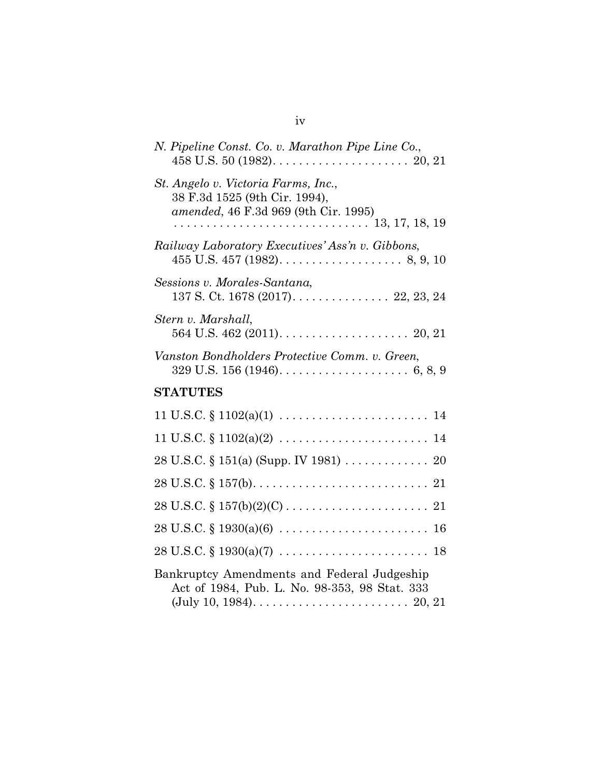| N. Pipeline Const. Co. v. Marathon Pipe Line Co.,                                                            |
|--------------------------------------------------------------------------------------------------------------|
| St. Angelo v. Victoria Farms, Inc.,<br>38 F.3d 1525 (9th Cir. 1994),<br>amended, 46 F.3d 969 (9th Cir. 1995) |
| Railway Laboratory Executives' Ass'n v. Gibbons,                                                             |
| Sessions v. Morales-Santana,<br>137 S. Ct. 1678 (2017). 22, 23, 24                                           |
| Stern v. Marshall,                                                                                           |
| Vanston Bondholders Protective Comm. v. Green,                                                               |
| <b>STATUTES</b>                                                                                              |
|                                                                                                              |
|                                                                                                              |
|                                                                                                              |
|                                                                                                              |
| $28 \text{ U.S.C.} \S 157(b)(2)(C) \ldots \ldots \ldots \ldots \ldots \ldots \ldots \ldots 21$               |
|                                                                                                              |
|                                                                                                              |
| Bankruptcy Amendments and Federal Judgeship<br>Act of 1984, Pub. L. No. 98-353, 98 Stat. 333                 |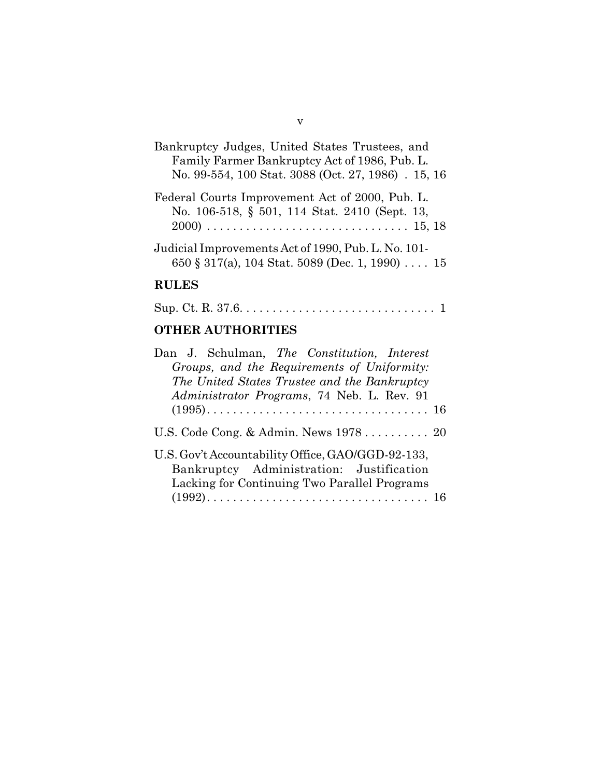| Bankruptcy Judges, United States Trustees, and<br>Family Farmer Bankruptcy Act of 1986, Pub. L.<br>No. 99-554, 100 Stat. 3088 (Oct. 27, 1986). 15, 16 |
|-------------------------------------------------------------------------------------------------------------------------------------------------------|
| Federal Courts Improvement Act of 2000, Pub. L.<br>No. 106-518, § 501, 114 Stat. 2410 (Sept. 13,                                                      |
| Judicial Improvements Act of 1990, Pub. L. No. 101-<br>650 § 317(a), 104 Stat. 5089 (Dec. 1, 1990)  15                                                |

# **RULES**

|--|--|--|--|--|--|--|--|--|--|--|--|--|--|--|--|--|--|--|--|--|--|--|--|--|--|--|--|--|--|--|--|--|--|--|--|--|--|--|--|--|--|--|--|--|--|--|--|--|--|--|--|--|--|--|--|--|--|--|--|--|--|--|--|--|--|--|--|--|--|--|--|--|--|--|--|--|--|--|--|--|--|--|--|--|--|--|--|--|--|--|--|--|--|--|--|--|--|--|--|--|--|--|--|--|--|--|--|--|--|--|--|--|--|--|--|--|--|--|--|--|--|--|--|--|--|--|--|--|--|--|--|--|--|--|--|--|--|--|--|--|--|--|--|--|--|--|

# **OTHER AUTHORITIES**

| Dan J. Schulman, The Constitution, Interest       |  |
|---------------------------------------------------|--|
| Groups, and the Requirements of Uniformity:       |  |
| The United States Trustee and the Bankruptcy      |  |
| Administrator Programs, 74 Neb. L. Rev. 91        |  |
|                                                   |  |
| U.S. Code Cong. & Admin. News 1978  20            |  |
| U.S. Gov't Accountability Office, GAO/GGD-92-133, |  |
| Bankruptcy Administration: Justification          |  |
| Lacking for Continuing Two Parallel Programs      |  |
|                                                   |  |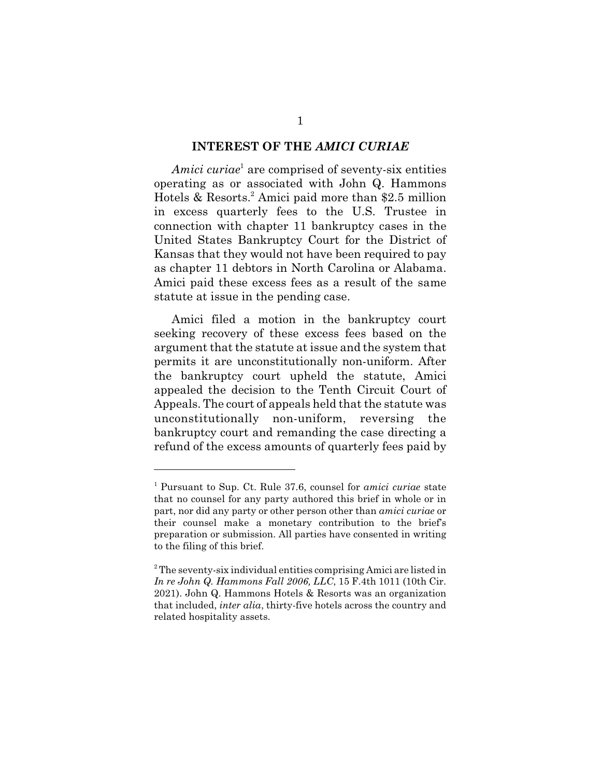#### **INTEREST OF THE** *AMICI CURIAE*

*Amici curiae*<sup>1</sup> are comprised of seventy-six entities operating as or associated with John Q. Hammons Hotels & Resorts.<sup>2</sup> Amici paid more than \$2.5 million in excess quarterly fees to the U.S. Trustee in connection with chapter 11 bankruptcy cases in the United States Bankruptcy Court for the District of Kansas that they would not have been required to pay as chapter 11 debtors in North Carolina or Alabama. Amici paid these excess fees as a result of the same statute at issue in the pending case.

Amici filed a motion in the bankruptcy court seeking recovery of these excess fees based on the argument that the statute at issue and the system that permits it are unconstitutionally non-uniform. After the bankruptcy court upheld the statute, Amici appealed the decision to the Tenth Circuit Court of Appeals. The court of appeals held that the statute was unconstitutionally non-uniform, reversing the bankruptcy court and remanding the case directing a refund of the excess amounts of quarterly fees paid by

<sup>1</sup> Pursuant to Sup. Ct. Rule 37.6, counsel for *amici curiae* state that no counsel for any party authored this brief in whole or in part, nor did any party or other person other than *amici curiae* or their counsel make a monetary contribution to the brief's preparation or submission. All parties have consented in writing to the filing of this brief.

<sup>&</sup>lt;sup>2</sup> The seventy-six individual entities comprising Amici are listed in *In re John Q. Hammons Fall 2006, LLC*, 15 F.4th 1011 (10th Cir. 2021). John Q. Hammons Hotels & Resorts was an organization that included, *inter alia*, thirty-five hotels across the country and related hospitality assets.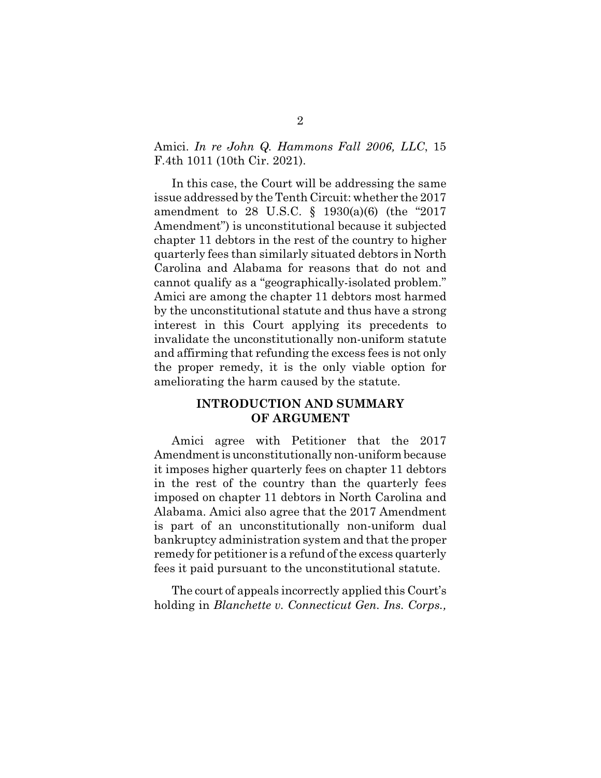Amici. *In re John Q. Hammons Fall 2006, LLC*, 15 F.4th 1011 (10th Cir. 2021).

In this case, the Court will be addressing the same issue addressed by the Tenth Circuit: whether the 2017 amendment to 28 U.S.C. § 1930(a)(6) (the "2017 Amendment") is unconstitutional because it subjected chapter 11 debtors in the rest of the country to higher quarterly fees than similarly situated debtors in North Carolina and Alabama for reasons that do not and cannot qualify as a "geographically-isolated problem." Amici are among the chapter 11 debtors most harmed by the unconstitutional statute and thus have a strong interest in this Court applying its precedents to invalidate the unconstitutionally non-uniform statute and affirming that refunding the excess fees is not only the proper remedy, it is the only viable option for ameliorating the harm caused by the statute.

## **INTRODUCTION AND SUMMARY OF ARGUMENT**

Amici agree with Petitioner that the 2017 Amendment is unconstitutionally non-uniform because it imposes higher quarterly fees on chapter 11 debtors in the rest of the country than the quarterly fees imposed on chapter 11 debtors in North Carolina and Alabama. Amici also agree that the 2017 Amendment is part of an unconstitutionally non-uniform dual bankruptcy administration system and that the proper remedy for petitioner is a refund of the excess quarterly fees it paid pursuant to the unconstitutional statute.

The court of appeals incorrectly applied this Court's holding in *Blanchette v. Connecticut Gen. Ins. Corps.,*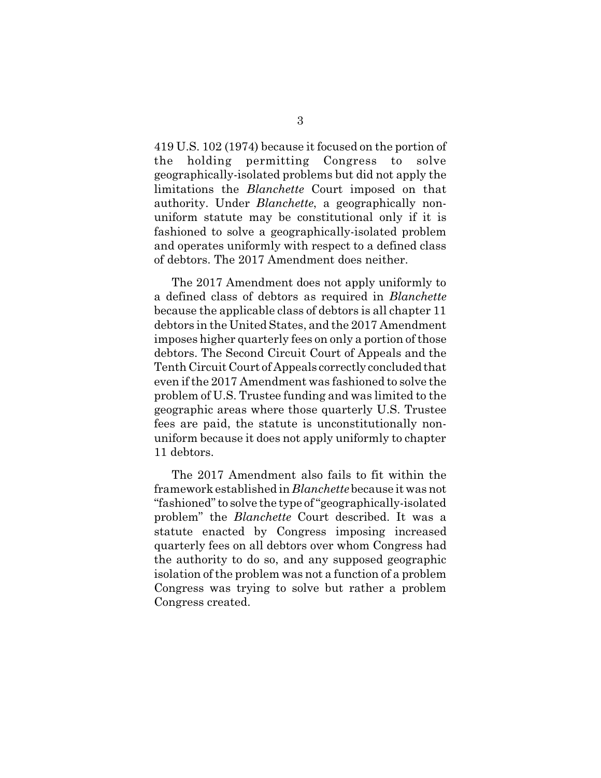419 U.S. 102 (1974) because it focused on the portion of the holding permitting Congress to solve geographically-isolated problems but did not apply the limitations the *Blanchette* Court imposed on that authority. Under *Blanchette*, a geographically nonuniform statute may be constitutional only if it is fashioned to solve a geographically-isolated problem and operates uniformly with respect to a defined class of debtors. The 2017 Amendment does neither.

The 2017 Amendment does not apply uniformly to a defined class of debtors as required in *Blanchette* because the applicable class of debtors is all chapter 11 debtors in the United States, and the 2017 Amendment imposes higher quarterly fees on only a portion of those debtors. The Second Circuit Court of Appeals and the Tenth Circuit Court of Appeals correctly concluded that even if the 2017 Amendment was fashioned to solve the problem of U.S. Trustee funding and was limited to the geographic areas where those quarterly U.S. Trustee fees are paid, the statute is unconstitutionally nonuniform because it does not apply uniformly to chapter 11 debtors.

The 2017 Amendment also fails to fit within the framework established in *Blanchette* because it was not "fashioned" to solve the type of "geographically-isolated problem" the *Blanchette* Court described. It was a statute enacted by Congress imposing increased quarterly fees on all debtors over whom Congress had the authority to do so, and any supposed geographic isolation of the problem was not a function of a problem Congress was trying to solve but rather a problem Congress created.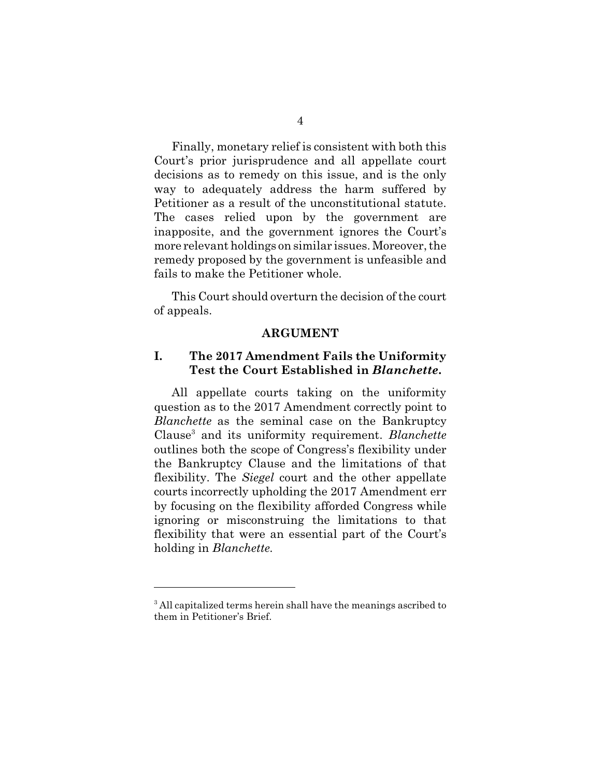Finally, monetary relief is consistent with both this Court's prior jurisprudence and all appellate court decisions as to remedy on this issue, and is the only way to adequately address the harm suffered by Petitioner as a result of the unconstitutional statute. The cases relied upon by the government are inapposite, and the government ignores the Court's more relevant holdings on similar issues. Moreover, the remedy proposed by the government is unfeasible and fails to make the Petitioner whole.

This Court should overturn the decision of the court of appeals.

#### **ARGUMENT**

## **I. The 2017 Amendment Fails the Uniformity Test the Court Established in** *Blanchette***.**

All appellate courts taking on the uniformity question as to the 2017 Amendment correctly point to *Blanchette* as the seminal case on the Bankruptcy Clause<sup>3</sup> and its uniformity requirement. *Blanchette* outlines both the scope of Congress's flexibility under the Bankruptcy Clause and the limitations of that flexibility. The *Siegel* court and the other appellate courts incorrectly upholding the 2017 Amendment err by focusing on the flexibility afforded Congress while ignoring or misconstruing the limitations to that flexibility that were an essential part of the Court's holding in *Blanchette*.

<sup>&</sup>lt;sup>3</sup> All capitalized terms herein shall have the meanings ascribed to them in Petitioner's Brief.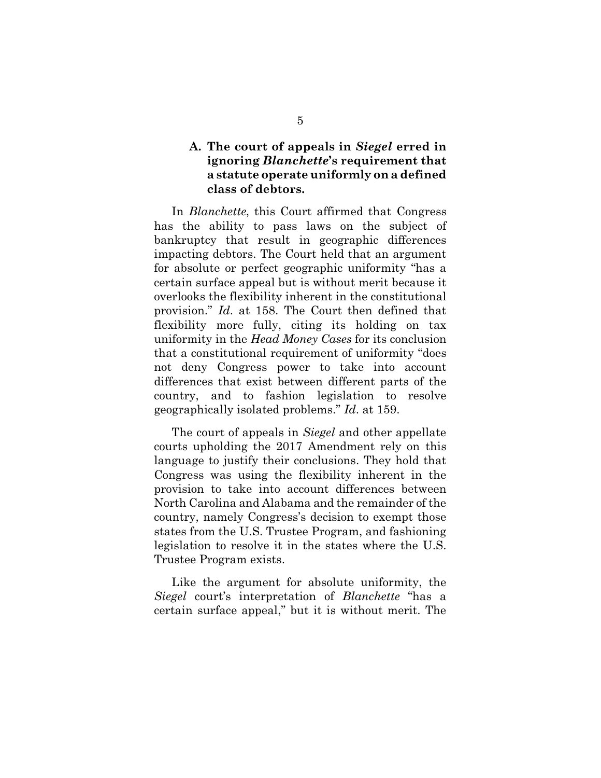## **A. The court of appeals in** *Siegel* **erred in ignoring** *Blanchette***'s requirement that a statute operate uniformly on a defined class of debtors.**

In *Blanchette*, this Court affirmed that Congress has the ability to pass laws on the subject of bankruptcy that result in geographic differences impacting debtors. The Court held that an argument for absolute or perfect geographic uniformity "has a certain surface appeal but is without merit because it overlooks the flexibility inherent in the constitutional provision." *Id*. at 158. The Court then defined that flexibility more fully, citing its holding on tax uniformity in the *Head Money Cases* for its conclusion that a constitutional requirement of uniformity "does not deny Congress power to take into account differences that exist between different parts of the country, and to fashion legislation to resolve geographically isolated problems." *Id*. at 159.

The court of appeals in *Siegel* and other appellate courts upholding the 2017 Amendment rely on this language to justify their conclusions. They hold that Congress was using the flexibility inherent in the provision to take into account differences between North Carolina and Alabama and the remainder of the country, namely Congress's decision to exempt those states from the U.S. Trustee Program, and fashioning legislation to resolve it in the states where the U.S. Trustee Program exists.

Like the argument for absolute uniformity, the *Siegel* court's interpretation of *Blanchette* "has a certain surface appeal," but it is without merit. The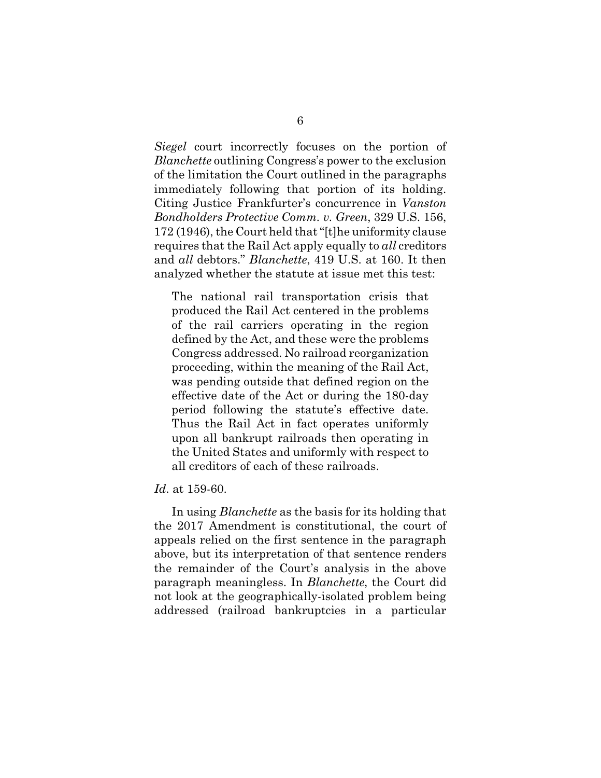*Siegel* court incorrectly focuses on the portion of *Blanchette* outlining Congress's power to the exclusion of the limitation the Court outlined in the paragraphs immediately following that portion of its holding. Citing Justice Frankfurter's concurrence in *Vanston Bondholders Protective Comm. v. Green*, 329 U.S. 156, 172 (1946), the Court held that "[t]he uniformity clause requires that the Rail Act apply equally to *all* creditors and *all* debtors." *Blanchette*, 419 U.S. at 160. It then analyzed whether the statute at issue met this test:

The national rail transportation crisis that produced the Rail Act centered in the problems of the rail carriers operating in the region defined by the Act, and these were the problems Congress addressed. No railroad reorganization proceeding, within the meaning of the Rail Act, was pending outside that defined region on the effective date of the Act or during the 180-day period following the statute's effective date. Thus the Rail Act in fact operates uniformly upon all bankrupt railroads then operating in the United States and uniformly with respect to all creditors of each of these railroads.

*Id*. at 159-60.

In using *Blanchette* as the basis for its holding that the 2017 Amendment is constitutional, the court of appeals relied on the first sentence in the paragraph above, but its interpretation of that sentence renders the remainder of the Court's analysis in the above paragraph meaningless. In *Blanchette*, the Court did not look at the geographically-isolated problem being addressed (railroad bankruptcies in a particular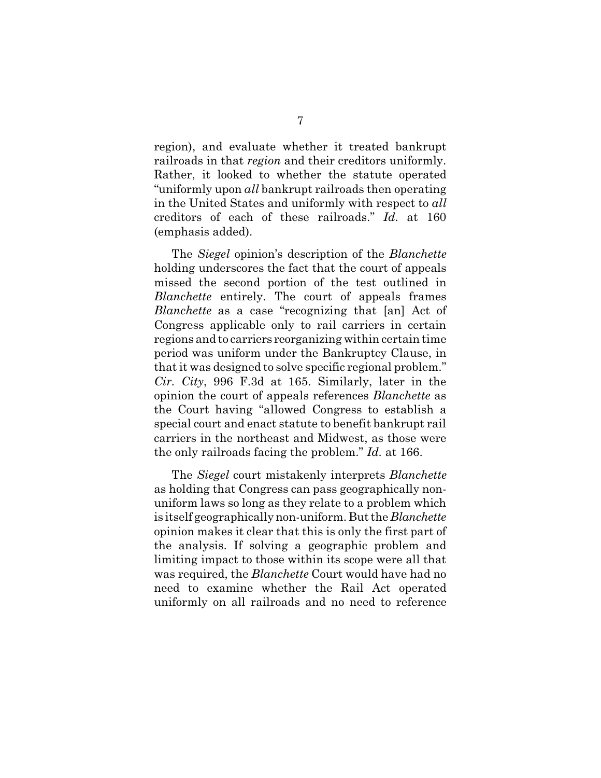region), and evaluate whether it treated bankrupt railroads in that *region* and their creditors uniformly. Rather, it looked to whether the statute operated "uniformly upon *all* bankrupt railroads then operating in the United States and uniformly with respect to *all* creditors of each of these railroads." *Id*. at 160 (emphasis added).

The *Siegel* opinion's description of the *Blanchette* holding underscores the fact that the court of appeals missed the second portion of the test outlined in *Blanchette* entirely. The court of appeals frames *Blanchette* as a case "recognizing that [an] Act of Congress applicable only to rail carriers in certain regions and to carriers reorganizing within certain time period was uniform under the Bankruptcy Clause, in that it was designed to solve specific regional problem." *Cir. City*, 996 F.3d at 165. Similarly, later in the opinion the court of appeals references *Blanchette* as the Court having "allowed Congress to establish a special court and enact statute to benefit bankrupt rail carriers in the northeast and Midwest, as those were the only railroads facing the problem." *Id.* at 166.

The *Siegel* court mistakenly interprets *Blanchette* as holding that Congress can pass geographically nonuniform laws so long as they relate to a problem which is itself geographically non-uniform. But the *Blanchette* opinion makes it clear that this is only the first part of the analysis. If solving a geographic problem and limiting impact to those within its scope were all that was required, the *Blanchette* Court would have had no need to examine whether the Rail Act operated uniformly on all railroads and no need to reference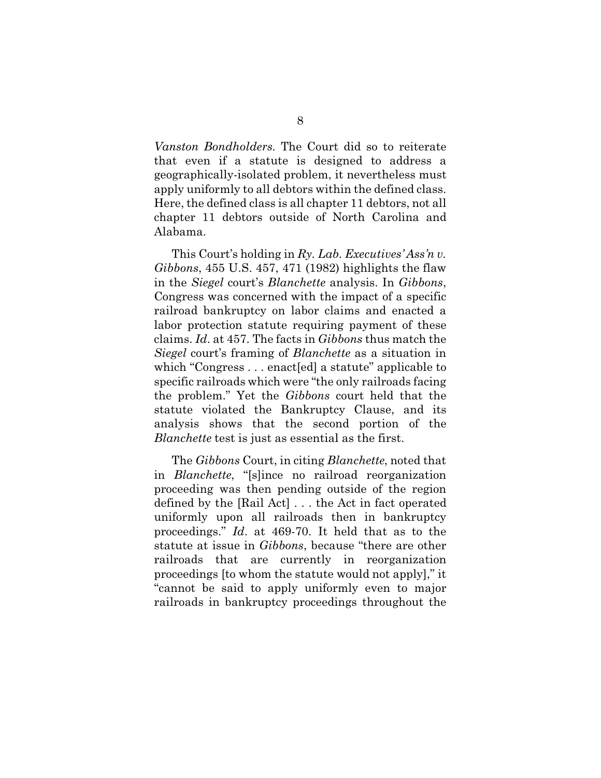*Vanston Bondholders*. The Court did so to reiterate that even if a statute is designed to address a geographically-isolated problem, it nevertheless must apply uniformly to all debtors within the defined class. Here, the defined class is all chapter 11 debtors, not all chapter 11 debtors outside of North Carolina and Alabama.

This Court's holding in *Ry. Lab. Executives' Ass'n v. Gibbons*, 455 U.S. 457, 471 (1982) highlights the flaw in the *Siegel* court's *Blanchette* analysis. In *Gibbons*, Congress was concerned with the impact of a specific railroad bankruptcy on labor claims and enacted a labor protection statute requiring payment of these claims. *Id*. at 457. The facts in *Gibbons* thus match the *Siegel* court's framing of *Blanchette* as a situation in which "Congress . . . enact[ed] a statute" applicable to specific railroads which were "the only railroads facing the problem." Yet the *Gibbons* court held that the statute violated the Bankruptcy Clause, and its analysis shows that the second portion of the *Blanchette* test is just as essential as the first.

The *Gibbons* Court, in citing *Blanchette*, noted that in *Blanchette*, "[s]ince no railroad reorganization proceeding was then pending outside of the region defined by the [Rail Act] . . . the Act in fact operated uniformly upon all railroads then in bankruptcy proceedings." *Id*. at 469-70. It held that as to the statute at issue in *Gibbons*, because "there are other railroads that are currently in reorganization proceedings [to whom the statute would not apply]," it "cannot be said to apply uniformly even to major railroads in bankruptcy proceedings throughout the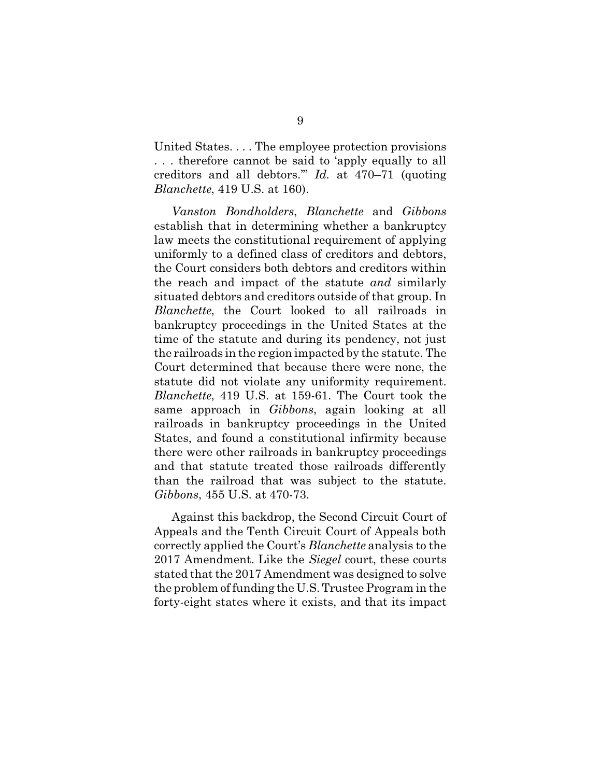United States. . . . The employee protection provisions . . . therefore cannot be said to 'apply equally to all creditors and all debtors.'" *Id.* at 470–71 (quoting *Blanchette*, 419 U.S. at 160).

*Vanston Bondholders*, *Blanchette* and *Gibbons* establish that in determining whether a bankruptcy law meets the constitutional requirement of applying uniformly to a defined class of creditors and debtors, the Court considers both debtors and creditors within the reach and impact of the statute *and* similarly situated debtors and creditors outside of that group. In *Blanchette*, the Court looked to all railroads in bankruptcy proceedings in the United States at the time of the statute and during its pendency, not just the railroads in the region impacted by the statute. The Court determined that because there were none, the statute did not violate any uniformity requirement. *Blanchette*, 419 U.S. at 159-61. The Court took the same approach in *Gibbons*, again looking at all railroads in bankruptcy proceedings in the United States, and found a constitutional infirmity because there were other railroads in bankruptcy proceedings and that statute treated those railroads differently than the railroad that was subject to the statute. *Gibbons*, 455 U.S. at 470-73.

Against this backdrop, the Second Circuit Court of Appeals and the Tenth Circuit Court of Appeals both correctly applied the Court's *Blanchette* analysis to the 2017 Amendment. Like the *Siegel* court, these courts stated that the 2017 Amendment was designed to solve the problem of funding the U.S. Trustee Program in the forty-eight states where it exists, and that its impact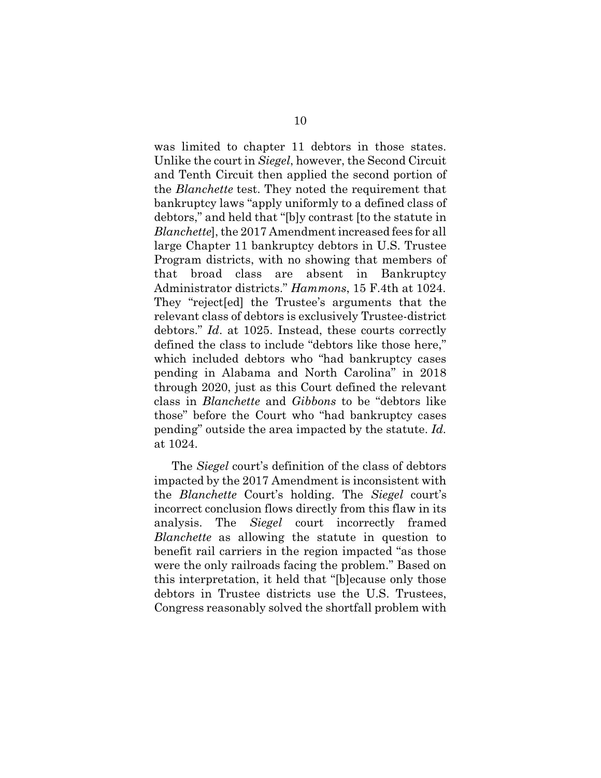was limited to chapter 11 debtors in those states. Unlike the court in *Siegel*, however, the Second Circuit and Tenth Circuit then applied the second portion of the *Blanchette* test. They noted the requirement that bankruptcy laws "apply uniformly to a defined class of debtors," and held that "[b]y contrast [to the statute in *Blanchette*], the 2017 Amendment increased fees for all large Chapter 11 bankruptcy debtors in U.S. Trustee Program districts, with no showing that members of that broad class are absent in Bankruptcy Administrator districts." *Hammons*, 15 F.4th at 1024. They "reject[ed] the Trustee's arguments that the relevant class of debtors is exclusively Trustee-district debtors." *Id*. at 1025. Instead, these courts correctly defined the class to include "debtors like those here," which included debtors who "had bankruptcy cases pending in Alabama and North Carolina" in 2018 through 2020, just as this Court defined the relevant class in *Blanchette* and *Gibbons* to be "debtors like those" before the Court who "had bankruptcy cases pending" outside the area impacted by the statute. *Id.* at 1024.

The *Siegel* court's definition of the class of debtors impacted by the 2017 Amendment is inconsistent with the *Blanchette* Court's holding. The *Siegel* court's incorrect conclusion flows directly from this flaw in its analysis. The *Siegel* court incorrectly framed *Blanchette* as allowing the statute in question to benefit rail carriers in the region impacted "as those were the only railroads facing the problem." Based on this interpretation, it held that "[b]ecause only those debtors in Trustee districts use the U.S. Trustees, Congress reasonably solved the shortfall problem with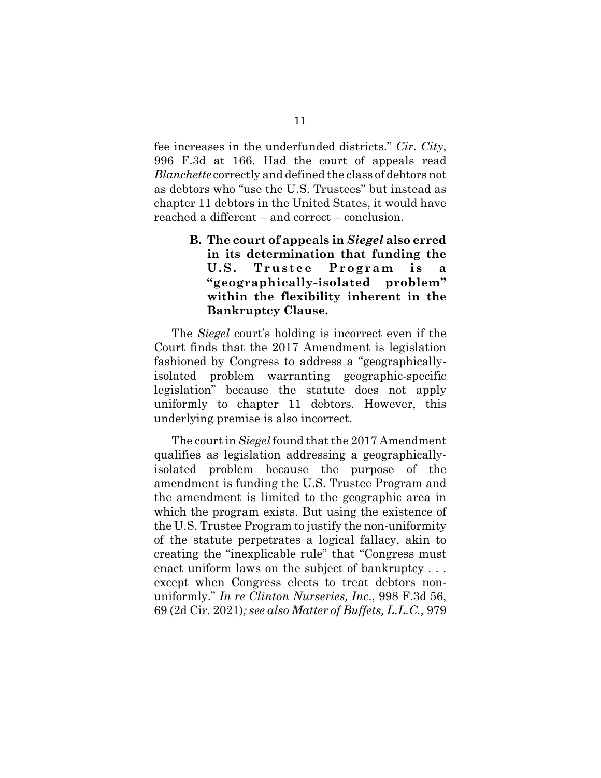fee increases in the underfunded districts." *Cir. City*, 996 F.3d at 166. Had the court of appeals read *Blanchette* correctly and defined the class of debtors not as debtors who "use the U.S. Trustees" but instead as chapter 11 debtors in the United States, it would have reached a different – and correct – conclusion.

> **B. The court of appeals in** *Siegel* **also erred in its determination that funding the U . S . T r u s t e e P r ogra m i s a "geographically-isolated problem" within the flexibility inherent in the Bankruptcy Clause.**

The *Siegel* court's holding is incorrect even if the Court finds that the 2017 Amendment is legislation fashioned by Congress to address a "geographicallyisolated problem warranting geographic-specific legislation" because the statute does not apply uniformly to chapter 11 debtors. However, this underlying premise is also incorrect.

The court in *Siegel* found that the 2017 Amendment qualifies as legislation addressing a geographicallyisolated problem because the purpose of the amendment is funding the U.S. Trustee Program and the amendment is limited to the geographic area in which the program exists. But using the existence of the U.S. Trustee Program to justify the non-uniformity of the statute perpetrates a logical fallacy, akin to creating the "inexplicable rule" that "Congress must enact uniform laws on the subject of bankruptcy... except when Congress elects to treat debtors nonuniformly." *In re Clinton Nurseries, Inc*., 998 F.3d 56, 69 (2d Cir. 2021)*; see also Matter of Buffets, L.L.C.,* 979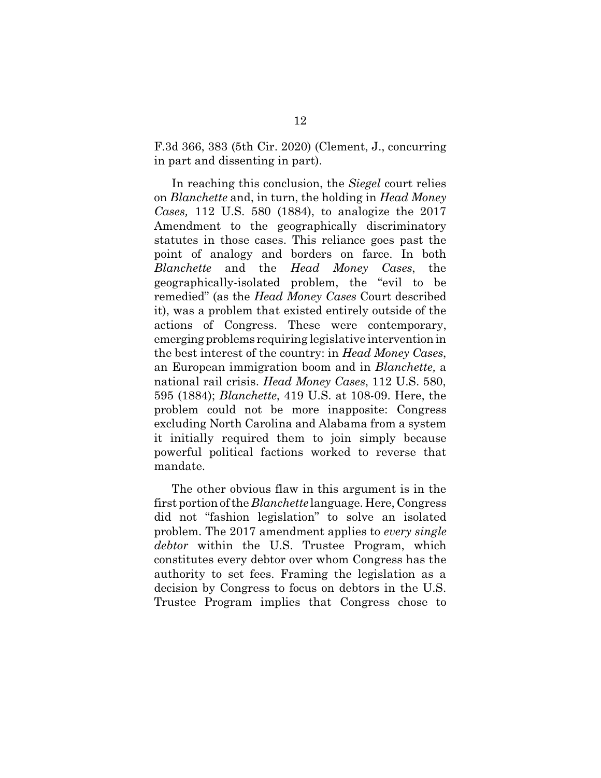F.3d 366, 383 (5th Cir. 2020) (Clement, J., concurring in part and dissenting in part).

In reaching this conclusion, the *Siegel* court relies on *Blanchette* and, in turn, the holding in *Head Money Cases,* 112 U.S. 580 (1884), to analogize the 2017 Amendment to the geographically discriminatory statutes in those cases. This reliance goes past the point of analogy and borders on farce. In both *Blanchette* and the *Head Money Cases*, the geographically-isolated problem, the "evil to be remedied" (as the *Head Money Cases* Court described it), was a problem that existed entirely outside of the actions of Congress. These were contemporary, emerging problems requiring legislative intervention in the best interest of the country: in *Head Money Cases*, an European immigration boom and in *Blanchette,* a national rail crisis. *Head Money Cases*, 112 U.S. 580, 595 (1884); *Blanchette*, 419 U.S. at 108-09. Here, the problem could not be more inapposite: Congress excluding North Carolina and Alabama from a system it initially required them to join simply because powerful political factions worked to reverse that mandate.

The other obvious flaw in this argument is in the first portion of the *Blanchette* language. Here, Congress did not "fashion legislation" to solve an isolated problem. The 2017 amendment applies to *every single debtor* within the U.S. Trustee Program, which constitutes every debtor over whom Congress has the authority to set fees. Framing the legislation as a decision by Congress to focus on debtors in the U.S. Trustee Program implies that Congress chose to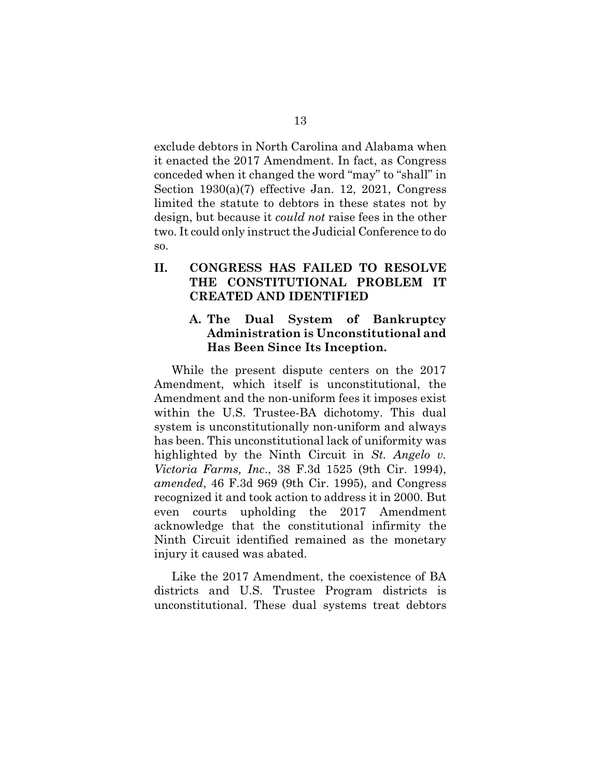exclude debtors in North Carolina and Alabama when it enacted the 2017 Amendment. In fact, as Congress conceded when it changed the word "may" to "shall" in Section 1930(a)(7) effective Jan. 12, 2021, Congress limited the statute to debtors in these states not by design, but because it *could not* raise fees in the other two. It could only instruct the Judicial Conference to do so.

## **II. CONGRESS HAS FAILED TO RESOLVE THE CONSTITUTIONAL PROBLEM IT CREATED AND IDENTIFIED**

## **A. The Dual System of Bankruptcy Administration is Unconstitutional and Has Been Since Its Inception.**

While the present dispute centers on the 2017 Amendment, which itself is unconstitutional, the Amendment and the non-uniform fees it imposes exist within the U.S. Trustee-BA dichotomy. This dual system is unconstitutionally non-uniform and always has been. This unconstitutional lack of uniformity was highlighted by the Ninth Circuit in *St. Angelo v. Victoria Farms, Inc*., 38 F.3d 1525 (9th Cir. 1994), *amended*, 46 F.3d 969 (9th Cir. 1995), and Congress recognized it and took action to address it in 2000. But even courts upholding the 2017 Amendment acknowledge that the constitutional infirmity the Ninth Circuit identified remained as the monetary injury it caused was abated.

Like the 2017 Amendment, the coexistence of BA districts and U.S. Trustee Program districts is unconstitutional. These dual systems treat debtors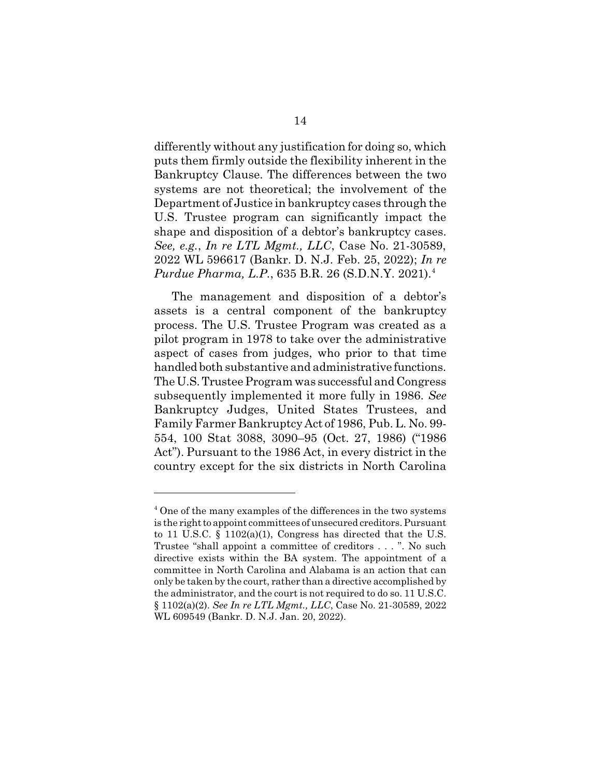differently without any justification for doing so, which puts them firmly outside the flexibility inherent in the Bankruptcy Clause. The differences between the two systems are not theoretical; the involvement of the Department of Justice in bankruptcy cases through the U.S. Trustee program can significantly impact the shape and disposition of a debtor's bankruptcy cases. *See, e.g.*, *In re LTL Mgmt., LLC*, Case No. 21-30589, 2022 WL 596617 (Bankr. D. N.J. Feb. 25, 2022); *In re Purdue Pharma, L.P.*, 635 B.R. 26 (S.D.N.Y. 2021).<sup>4</sup>

The management and disposition of a debtor's assets is a central component of the bankruptcy process. The U.S. Trustee Program was created as a pilot program in 1978 to take over the administrative aspect of cases from judges, who prior to that time handled both substantive and administrative functions. The U.S. Trustee Program was successful and Congress subsequently implemented it more fully in 1986. *See* Bankruptcy Judges, United States Trustees, and Family Farmer Bankruptcy Act of 1986, Pub. L. No. 99- 554, 100 Stat 3088, 3090–95 (Oct. 27, 1986) ("1986 Act"). Pursuant to the 1986 Act, in every district in the country except for the six districts in North Carolina

<sup>&</sup>lt;sup>4</sup> One of the many examples of the differences in the two systems is the right to appoint committees of unsecured creditors. Pursuant to 11 U.S.C. § 1102(a)(1), Congress has directed that the U.S. Trustee "shall appoint a committee of creditors . . . ". No such directive exists within the BA system. The appointment of a committee in North Carolina and Alabama is an action that can only be taken by the court, rather than a directive accomplished by the administrator, and the court is not required to do so. 11 U.S.C. § 1102(a)(2). *See In re LTL Mgmt., LLC*, Case No. 21-30589, 2022 WL 609549 (Bankr. D. N.J. Jan. 20, 2022).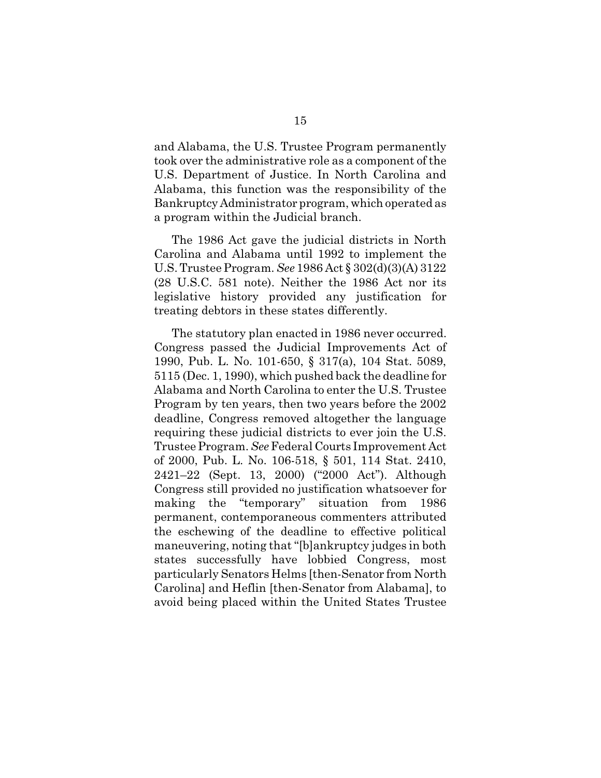and Alabama, the U.S. Trustee Program permanently took over the administrative role as a component of the U.S. Department of Justice. In North Carolina and Alabama, this function was the responsibility of the Bankruptcy Administrator program, which operated as a program within the Judicial branch.

The 1986 Act gave the judicial districts in North Carolina and Alabama until 1992 to implement the U.S. Trustee Program. *See* 1986 Act § 302(d)(3)(A) 3122 (28 U.S.C. 581 note). Neither the 1986 Act nor its legislative history provided any justification for treating debtors in these states differently.

The statutory plan enacted in 1986 never occurred. Congress passed the Judicial Improvements Act of 1990, Pub. L. No. 101-650, § 317(a), 104 Stat. 5089, 5115 (Dec. 1, 1990), which pushed back the deadline for Alabama and North Carolina to enter the U.S. Trustee Program by ten years, then two years before the 2002 deadline, Congress removed altogether the language requiring these judicial districts to ever join the U.S. Trustee Program. *See* Federal Courts Improvement Act of 2000, Pub. L. No. 106-518, § 501, 114 Stat. 2410, 2421–22 (Sept. 13, 2000) ("2000 Act"). Although Congress still provided no justification whatsoever for making the "temporary" situation from 1986 permanent, contemporaneous commenters attributed the eschewing of the deadline to effective political maneuvering, noting that "[b]ankruptcy judges in both states successfully have lobbied Congress, most particularly Senators Helms [then-Senator from North Carolina] and Heflin [then-Senator from Alabama], to avoid being placed within the United States Trustee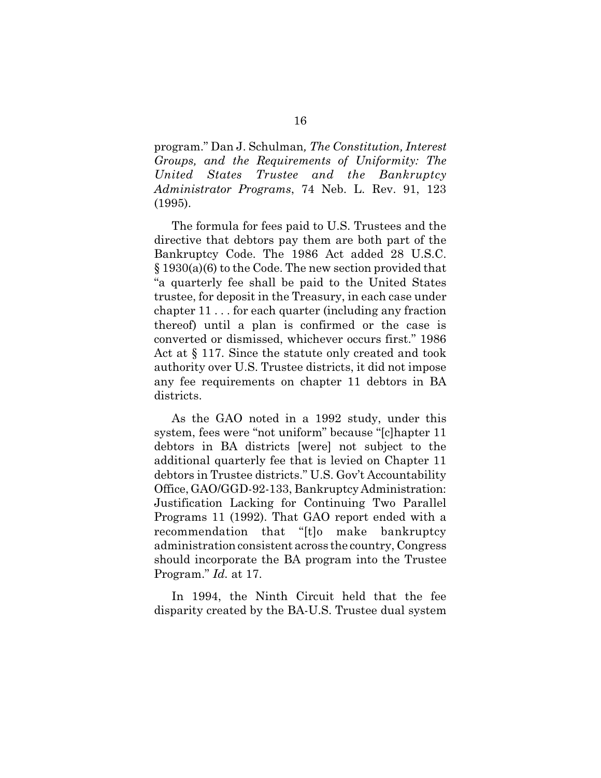program." Dan J. Schulman*, The Constitution, Interest Groups, and the Requirements of Uniformity: The United States Trustee and the Bankruptcy Administrator Programs*, 74 Neb. L. Rev. 91, 123 (1995).

The formula for fees paid to U.S. Trustees and the directive that debtors pay them are both part of the Bankruptcy Code. The 1986 Act added 28 U.S.C. § 1930(a)(6) to the Code. The new section provided that "a quarterly fee shall be paid to the United States trustee, for deposit in the Treasury, in each case under chapter 11 . . . for each quarter (including any fraction thereof) until a plan is confirmed or the case is converted or dismissed, whichever occurs first." 1986 Act at § 117. Since the statute only created and took authority over U.S. Trustee districts, it did not impose any fee requirements on chapter 11 debtors in BA districts.

As the GAO noted in a 1992 study, under this system, fees were "not uniform" because "[c]hapter 11 debtors in BA districts [were] not subject to the additional quarterly fee that is levied on Chapter 11 debtors in Trustee districts." U.S. Gov't Accountability Office, GAO/GGD-92-133, Bankruptcy Administration: Justification Lacking for Continuing Two Parallel Programs 11 (1992). That GAO report ended with a recommendation that "[t]o make bankruptcy administration consistent across the country, Congress should incorporate the BA program into the Trustee Program." *Id.* at 17.

In 1994, the Ninth Circuit held that the fee disparity created by the BA-U.S. Trustee dual system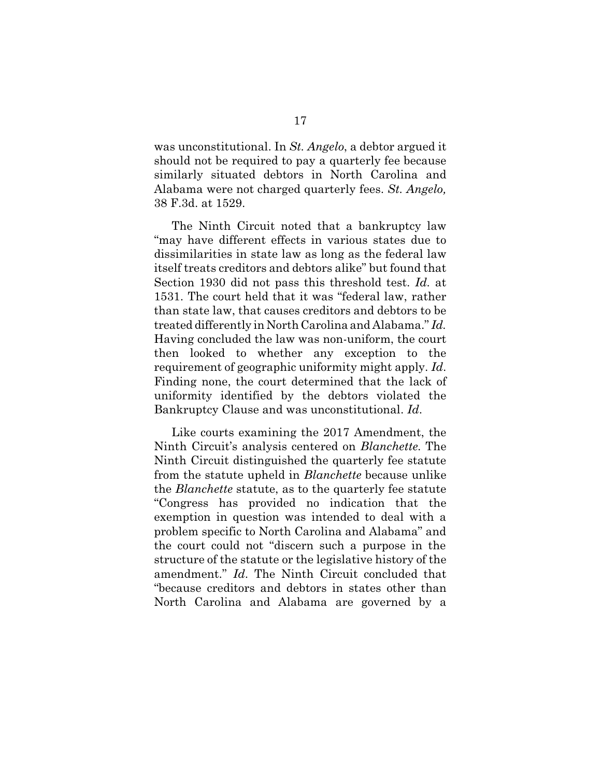was unconstitutional. In *St. Angelo*, a debtor argued it should not be required to pay a quarterly fee because similarly situated debtors in North Carolina and Alabama were not charged quarterly fees. *St. Angelo,* 38 F.3d. at 1529.

The Ninth Circuit noted that a bankruptcy law "may have different effects in various states due to dissimilarities in state law as long as the federal law itself treats creditors and debtors alike" but found that Section 1930 did not pass this threshold test. *Id.* at 1531. The court held that it was "federal law, rather than state law, that causes creditors and debtors to be treated differently in North Carolina and Alabama." *Id.* Having concluded the law was non-uniform, the court then looked to whether any exception to the requirement of geographic uniformity might apply. *Id*. Finding none, the court determined that the lack of uniformity identified by the debtors violated the Bankruptcy Clause and was unconstitutional. *Id*.

Like courts examining the 2017 Amendment, the Ninth Circuit's analysis centered on *Blanchette*. The Ninth Circuit distinguished the quarterly fee statute from the statute upheld in *Blanchette* because unlike the *Blanchette* statute, as to the quarterly fee statute "Congress has provided no indication that the exemption in question was intended to deal with a problem specific to North Carolina and Alabama" and the court could not "discern such a purpose in the structure of the statute or the legislative history of the amendment." *Id*. The Ninth Circuit concluded that "because creditors and debtors in states other than North Carolina and Alabama are governed by a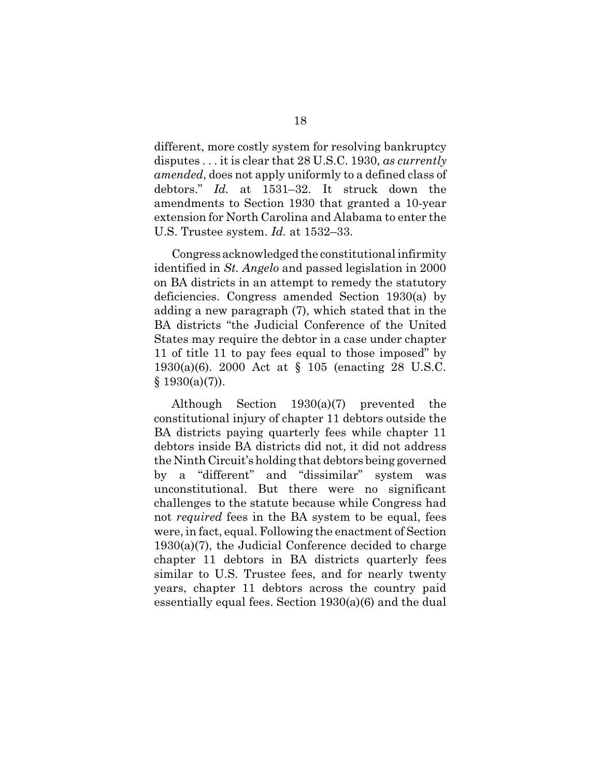different, more costly system for resolving bankruptcy disputes . . . it is clear that 28 U.S.C. 1930, *as currently amended*, does not apply uniformly to a defined class of debtors." *Id.* at 1531–32. It struck down the amendments to Section 1930 that granted a 10-year extension for North Carolina and Alabama to enter the U.S. Trustee system. *Id.* at 1532–33.

Congress acknowledged the constitutional infirmity identified in *St. Angelo* and passed legislation in 2000 on BA districts in an attempt to remedy the statutory deficiencies. Congress amended Section 1930(a) by adding a new paragraph (7), which stated that in the BA districts "the Judicial Conference of the United States may require the debtor in a case under chapter 11 of title 11 to pay fees equal to those imposed" by 1930(a)(6). 2000 Act at § 105 (enacting 28 U.S.C.  $§ 1930(a)(7)$ .

Although Section 1930(a)(7) prevented the constitutional injury of chapter 11 debtors outside the BA districts paying quarterly fees while chapter 11 debtors inside BA districts did not, it did not address the Ninth Circuit's holding that debtors being governed by a "different" and "dissimilar" system was unconstitutional. But there were no significant challenges to the statute because while Congress had not *required* fees in the BA system to be equal, fees were, in fact, equal. Following the enactment of Section 1930(a)(7), the Judicial Conference decided to charge chapter 11 debtors in BA districts quarterly fees similar to U.S. Trustee fees, and for nearly twenty years, chapter 11 debtors across the country paid essentially equal fees. Section 1930(a)(6) and the dual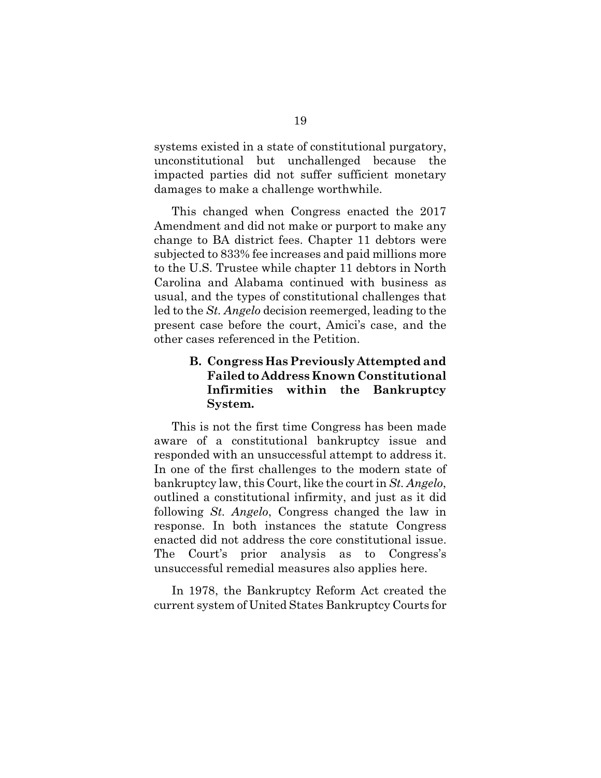systems existed in a state of constitutional purgatory, unconstitutional but unchallenged because the impacted parties did not suffer sufficient monetary damages to make a challenge worthwhile.

This changed when Congress enacted the 2017 Amendment and did not make or purport to make any change to BA district fees. Chapter 11 debtors were subjected to 833% fee increases and paid millions more to the U.S. Trustee while chapter 11 debtors in North Carolina and Alabama continued with business as usual, and the types of constitutional challenges that led to the *St. Angelo* decision reemerged, leading to the present case before the court, Amici's case, and the other cases referenced in the Petition.

## **B. Congress Has Previously Attempted and Failed to Address Known Constitutional Infirmities within the Bankruptcy System.**

This is not the first time Congress has been made aware of a constitutional bankruptcy issue and responded with an unsuccessful attempt to address it. In one of the first challenges to the modern state of bankruptcy law, this Court, like the court in *St. Angelo*, outlined a constitutional infirmity, and just as it did following *St. Angelo*, Congress changed the law in response. In both instances the statute Congress enacted did not address the core constitutional issue. The Court's prior analysis as to Congress's unsuccessful remedial measures also applies here.

In 1978, the Bankruptcy Reform Act created the current system of United States Bankruptcy Courts for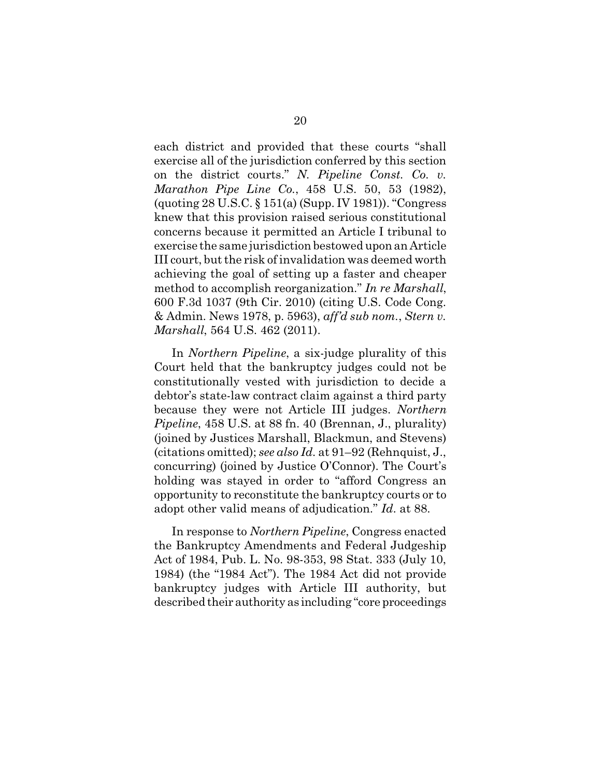each district and provided that these courts "shall exercise all of the jurisdiction conferred by this section on the district courts." *N. Pipeline Const. Co. v. Marathon Pipe Line Co.*, 458 U.S. 50, 53 (1982), (quoting 28 U.S.C. § 151(a) (Supp. IV 1981)). "Congress knew that this provision raised serious constitutional concerns because it permitted an Article I tribunal to exercise the same jurisdiction bestowed upon an Article III court, but the risk of invalidation was deemed worth achieving the goal of setting up a faster and cheaper method to accomplish reorganization." *In re Marshall*, 600 F.3d 1037 (9th Cir. 2010) (citing U.S. Code Cong. & Admin. News 1978, p. 5963), *aff'd sub nom.*, *Stern v. Marshall*, 564 U.S. 462 (2011).

In *Northern Pipeline*, a six-judge plurality of this Court held that the bankruptcy judges could not be constitutionally vested with jurisdiction to decide a debtor's state-law contract claim against a third party because they were not Article III judges. *Northern Pipeline*, 458 U.S. at 88 fn. 40 (Brennan, J., plurality) (joined by Justices Marshall, Blackmun, and Stevens) (citations omitted); *see also Id.* at 91–92 (Rehnquist, J., concurring) (joined by Justice O'Connor). The Court's holding was stayed in order to "afford Congress an opportunity to reconstitute the bankruptcy courts or to adopt other valid means of adjudication." *Id*. at 88.

In response to *Northern Pipeline*, Congress enacted the Bankruptcy Amendments and Federal Judgeship Act of 1984, Pub. L. No. 98-353, 98 Stat. 333 (July 10, 1984) (the "1984 Act"). The 1984 Act did not provide bankruptcy judges with Article III authority, but described their authority as including "core proceedings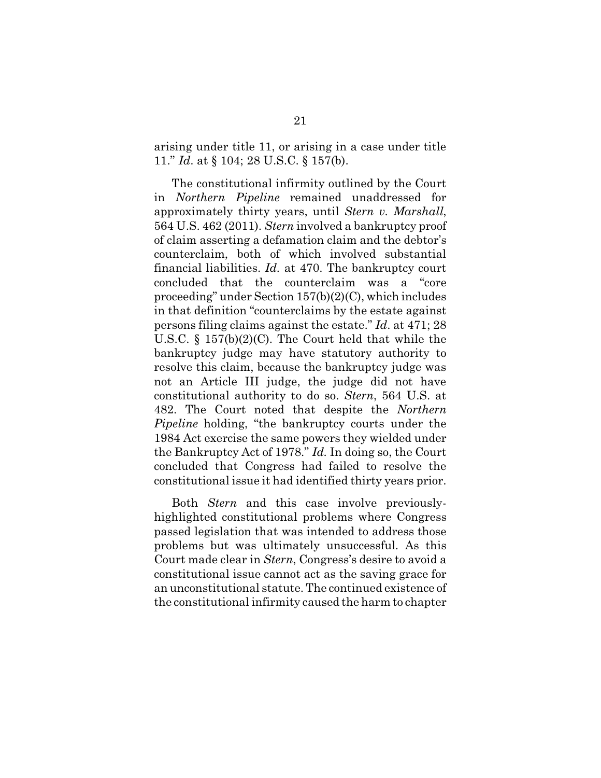arising under title 11, or arising in a case under title 11." *Id*. at § 104; 28 U.S.C. § 157(b).

The constitutional infirmity outlined by the Court in *Northern Pipeline* remained unaddressed for approximately thirty years, until *Stern v. Marshall*, 564 U.S. 462 (2011). *Stern* involved a bankruptcy proof of claim asserting a defamation claim and the debtor's counterclaim, both of which involved substantial financial liabilities. *Id.* at 470. The bankruptcy court concluded that the counterclaim was a "core proceeding" under Section 157(b)(2)(C), which includes in that definition "counterclaims by the estate against persons filing claims against the estate." *Id*. at 471; 28 U.S.C. § 157(b)(2)(C). The Court held that while the bankruptcy judge may have statutory authority to resolve this claim, because the bankruptcy judge was not an Article III judge, the judge did not have constitutional authority to do so. *Stern*, 564 U.S. at 482. The Court noted that despite the *Northern Pipeline* holding, "the bankruptcy courts under the 1984 Act exercise the same powers they wielded under the Bankruptcy Act of 1978." *Id.* In doing so, the Court concluded that Congress had failed to resolve the constitutional issue it had identified thirty years prior.

Both *Stern* and this case involve previouslyhighlighted constitutional problems where Congress passed legislation that was intended to address those problems but was ultimately unsuccessful. As this Court made clear in *Stern*, Congress's desire to avoid a constitutional issue cannot act as the saving grace for an unconstitutional statute. The continued existence of the constitutional infirmity caused the harm to chapter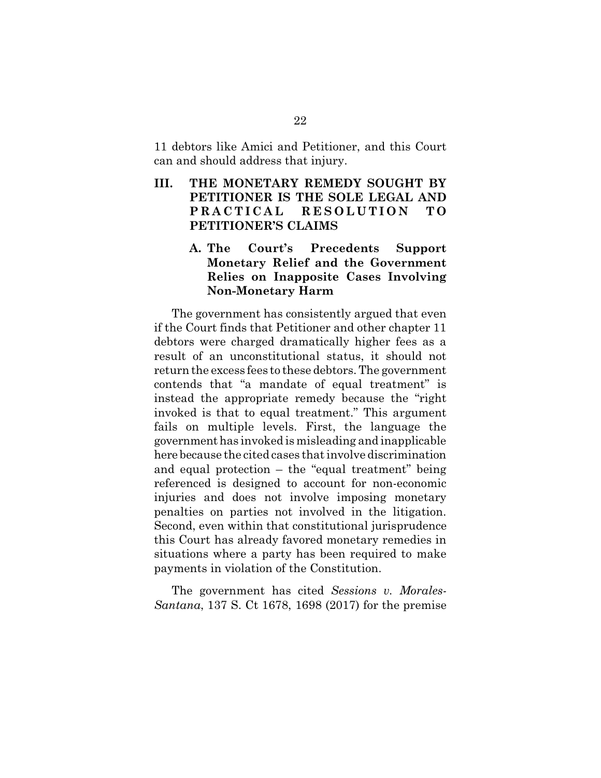11 debtors like Amici and Petitioner, and this Court can and should address that injury.

**III. THE MONETARY REMEDY SOUGHT BY PETITIONER IS THE SOLE LEGAL AND** PRACTICAL RESOLUTION TO **PETITIONER'S CLAIMS**

## **A. The Court's Precedents Support Monetary Relief and the Government Relies on Inapposite Cases Involving Non-Monetary Harm**

The government has consistently argued that even if the Court finds that Petitioner and other chapter 11 debtors were charged dramatically higher fees as a result of an unconstitutional status, it should not return the excess fees to these debtors. The government contends that "a mandate of equal treatment" is instead the appropriate remedy because the "right invoked is that to equal treatment." This argument fails on multiple levels. First, the language the government has invoked is misleading and inapplicable here because the cited cases that involve discrimination and equal protection – the "equal treatment" being referenced is designed to account for non-economic injuries and does not involve imposing monetary penalties on parties not involved in the litigation. Second, even within that constitutional jurisprudence this Court has already favored monetary remedies in situations where a party has been required to make payments in violation of the Constitution.

The government has cited *Sessions v. Morales-Santana*, 137 S. Ct 1678, 1698 (2017) for the premise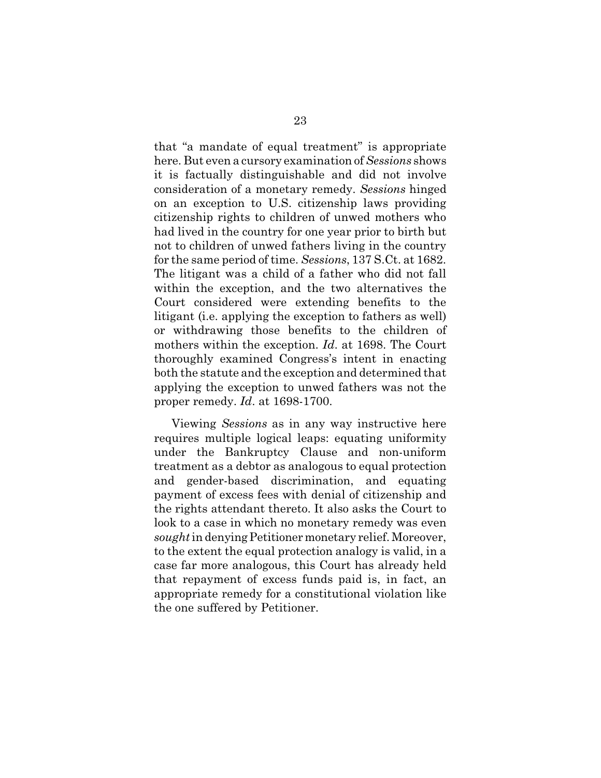that "a mandate of equal treatment" is appropriate here. But even a cursory examination of *Sessions* shows it is factually distinguishable and did not involve consideration of a monetary remedy. *Sessions* hinged on an exception to U.S. citizenship laws providing citizenship rights to children of unwed mothers who had lived in the country for one year prior to birth but not to children of unwed fathers living in the country for the same period of time. *Sessions*, 137 S.Ct. at 1682. The litigant was a child of a father who did not fall within the exception, and the two alternatives the Court considered were extending benefits to the litigant (i.e. applying the exception to fathers as well) or withdrawing those benefits to the children of mothers within the exception. *Id*. at 1698. The Court thoroughly examined Congress's intent in enacting both the statute and the exception and determined that applying the exception to unwed fathers was not the proper remedy. *Id*. at 1698-1700.

Viewing *Sessions* as in any way instructive here requires multiple logical leaps: equating uniformity under the Bankruptcy Clause and non-uniform treatment as a debtor as analogous to equal protection and gender-based discrimination, and equating payment of excess fees with denial of citizenship and the rights attendant thereto. It also asks the Court to look to a case in which no monetary remedy was even *sought* in denying Petitioner monetary relief. Moreover, to the extent the equal protection analogy is valid, in a case far more analogous, this Court has already held that repayment of excess funds paid is, in fact, an appropriate remedy for a constitutional violation like the one suffered by Petitioner.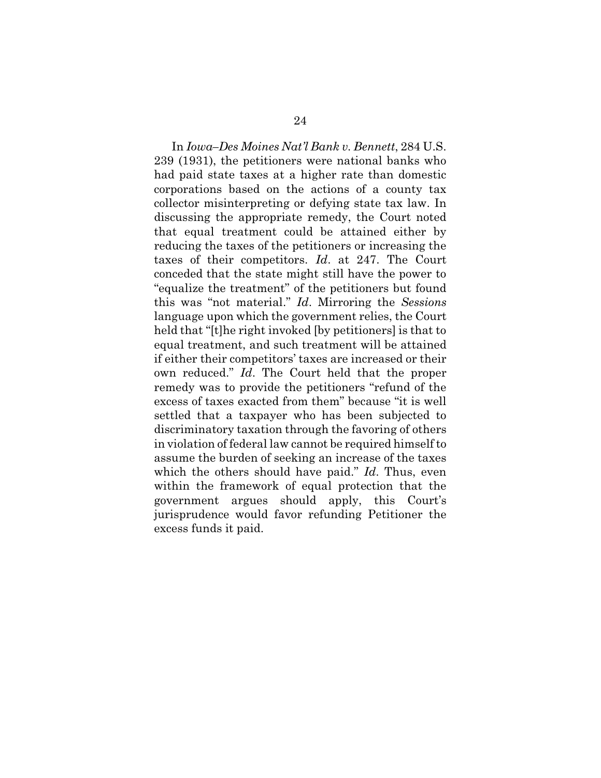In *Iowa–Des Moines Nat'l Bank v. Bennett*, 284 U.S. 239 (1931), the petitioners were national banks who had paid state taxes at a higher rate than domestic corporations based on the actions of a county tax collector misinterpreting or defying state tax law. In discussing the appropriate remedy, the Court noted that equal treatment could be attained either by reducing the taxes of the petitioners or increasing the taxes of their competitors. *Id*. at 247. The Court conceded that the state might still have the power to "equalize the treatment" of the petitioners but found this was "not material." *Id*. Mirroring the *Sessions* language upon which the government relies, the Court held that "[t]he right invoked [by petitioners] is that to equal treatment, and such treatment will be attained if either their competitors' taxes are increased or their own reduced." *Id*. The Court held that the proper remedy was to provide the petitioners "refund of the excess of taxes exacted from them" because "it is well settled that a taxpayer who has been subjected to discriminatory taxation through the favoring of others in violation of federal law cannot be required himself to assume the burden of seeking an increase of the taxes which the others should have paid." *Id*. Thus, even within the framework of equal protection that the government argues should apply, this Court's jurisprudence would favor refunding Petitioner the excess funds it paid.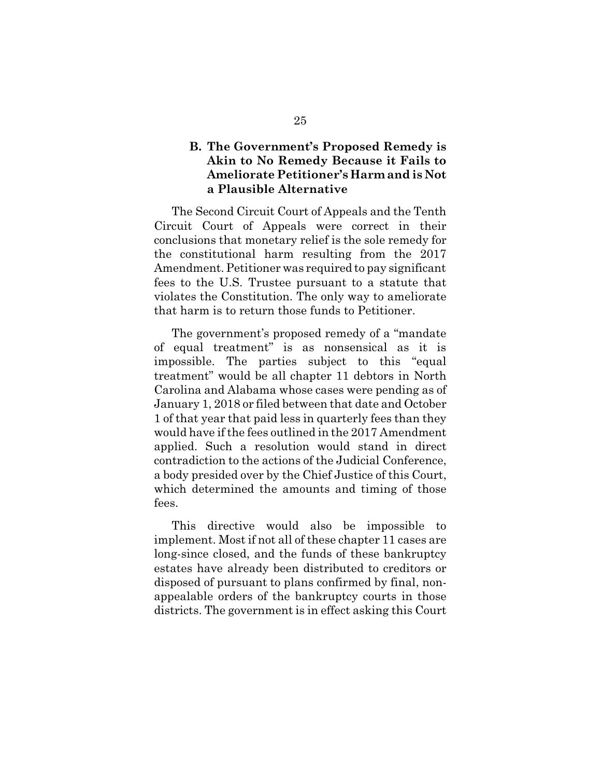## **B. The Government's Proposed Remedy is Akin to No Remedy Because it Fails to Ameliorate Petitioner's Harm and is Not a Plausible Alternative**

The Second Circuit Court of Appeals and the Tenth Circuit Court of Appeals were correct in their conclusions that monetary relief is the sole remedy for the constitutional harm resulting from the 2017 Amendment. Petitioner was required to pay significant fees to the U.S. Trustee pursuant to a statute that violates the Constitution. The only way to ameliorate that harm is to return those funds to Petitioner.

The government's proposed remedy of a "mandate of equal treatment" is as nonsensical as it is impossible. The parties subject to this "equal treatment" would be all chapter 11 debtors in North Carolina and Alabama whose cases were pending as of January 1, 2018 or filed between that date and October 1 of that year that paid less in quarterly fees than they would have if the fees outlined in the 2017 Amendment applied. Such a resolution would stand in direct contradiction to the actions of the Judicial Conference, a body presided over by the Chief Justice of this Court, which determined the amounts and timing of those fees.

This directive would also be impossible to implement. Most if not all of these chapter 11 cases are long-since closed, and the funds of these bankruptcy estates have already been distributed to creditors or disposed of pursuant to plans confirmed by final, nonappealable orders of the bankruptcy courts in those districts. The government is in effect asking this Court